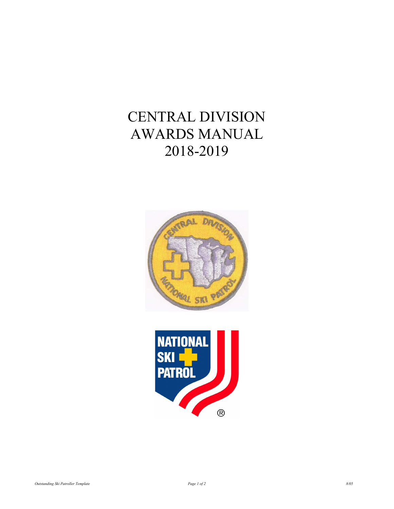# CENTRAL DIVISION AWARDS MANUAL 2018-2019



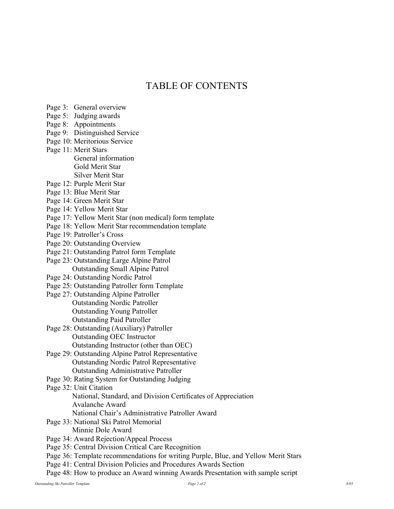# TABLE OF CONTENTS

- Page 3: General overview
- Page 5: Judging awards
- Page 8: Appointments
- Page 9: Distinguished Service
- Page 10: Meritorious Service
- Page 11: Merit Stars General information Gold Merit Star Silver Merit Star
- Page 12: Purple Merit Star
- Page 13: Blue Merit Star
- Page 14: Green Merit Star
- Page 14: Yellow Merit Star
- Page 17: Yellow Merit Star (non medical) form template
- Page 18: Yellow Merit Star recommendation template
- Page 19: Patroller's Cross
- Page 20: Outstanding Overview
- Page 21: Outstanding Patrol form Template
- Page 23: Outstanding Large Alpine Patrol Outstanding Small Alpine Patrol
- Page 24: Outstanding Nordic Patrol
- Page 25: Outstanding Patroller form Template
- Page 27: Outstanding Alpine Patroller Outstanding Nordic Patroller Outstanding Young Patroller Outstanding Paid Patroller
- Page 28: Outstanding (Auxiliary) Patroller Outstanding OEC Instructor Outstanding Instructor (other than OEC)
- Page 29: Outstanding Alpine Patrol Representative Outstanding Nordic Patrol Representative Outstanding Administrative Patroller
- Page 30: Rating System for Outstanding Judging
- Page 32: Unit Citation
	- National, Standard, and Division Certificates of Appreciation Avalanche Award
	- National Chair's Administrative Patroller Award
- Page 33: National Ski Patrol Memorial
	- Minnie Dole Award
- Page 34: Award Rejection/Appeal Process
- Page 35: Central Division Critical Care Recognition
- Page 36: Template recommendations for writing Purple, Blue, and Yellow Merit Stars
- Page 41: Central Division Policies and Procedures Awards Section
- Page 48: How to produce an Award winning Awards Presentation with sample script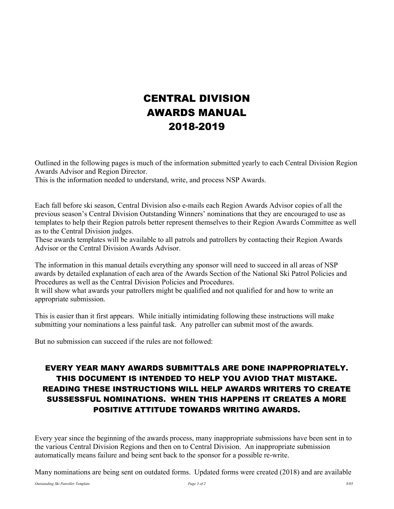# CENTRAL DIVISION AWARDS MANUAL 2018-2019

Outlined in the following pages is much of the information submitted yearly to each Central Division Region Awards Advisor and Region Director.

This is the information needed to understand, write, and process NSP Awards.

Each fall before ski season, Central Division also e-mails each Region Awards Advisor copies of all the previous season's Central Division Outstanding Winners' nominations that they are encouraged to use as templates to help their Region patrols better represent themselves to their Region Awards Committee as well as to the Central Division judges.

These awards templates will be available to all patrols and patrollers by contacting their Region Awards Advisor or the Central Division Awards Advisor.

The information in this manual details everything any sponsor will need to succeed in all areas of NSP awards by detailed explanation of each area of the Awards Section of the National Ski Patrol Policies and Procedures as well as the Central Division Policies and Procedures.

It will show what awards your patrollers might be qualified and not qualified for and how to write an appropriate submission.

This is easier than it first appears. While initially intimidating following these instructions will make submitting your nominations a less painful task. Any patroller can submit most of the awards.

But no submission can succeed if the rules are not followed:

# EVERY YEAR MANY AWARDS SUBMITTALS ARE DONE INAPPROPRIATELY. THIS DOCUMENT IS INTENDED TO HELP YOU AVIOD THAT MISTAKE. READING THESE INSTRUCTIONS WILL HELP AWARDS WRITERS TO CREATE SUSSESSFUL NOMINATIONS. WHEN THIS HAPPENS IT CREATES A MORE POSITIVE ATTITUDE TOWARDS WRITING AWARDS.

Every year since the beginning of the awards process, many inappropriate submissions have been sent in to the various Central Division Regions and then on to Central Division. An inappropriate submission automatically means failure and being sent back to the sponsor for a possible re-write.

Many nominations are being sent on outdated forms. Updated forms were created (2018) and are available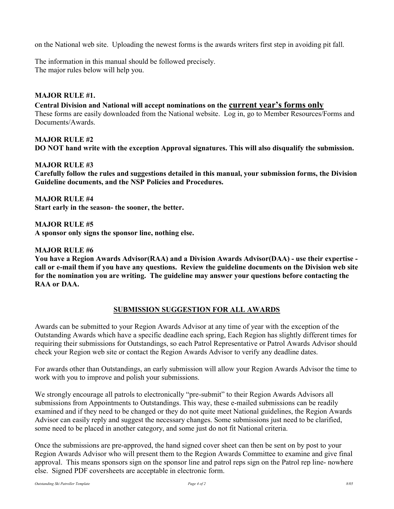on the National web site. Uploading the newest forms is the awards writers first step in avoiding pit fall.

The information in this manual should be followed precisely. The major rules below will help you.

#### MAJOR RULE #1.

Central Division and National will accept nominations on the current year's forms only These forms are easily downloaded from the National website. Log in, go to Member Resources/Forms and Documents/Awards.

MAJOR RULE #2 DO NOT hand write with the exception Approval signatures. This will also disqualify the submission.

MAJOR RULE #3

Carefully follow the rules and suggestions detailed in this manual, your submission forms, the Division Guideline documents, and the NSP Policies and Procedures.

MAJOR RULE #4 Start early in the season- the sooner, the better.

MAJOR RULE #5 A sponsor only signs the sponsor line, nothing else.

MAJOR RULE #6

You have a Region Awards Advisor(RAA) and a Division Awards Advisor(DAA) - use their expertise call or e-mail them if you have any questions. Review the guideline documents on the Division web site for the nomination you are writing. The guideline may answer your questions before contacting the RAA or DAA.

### SUBMISSION SUGGESTION FOR ALL AWARDS

Awards can be submitted to your Region Awards Advisor at any time of year with the exception of the Outstanding Awards which have a specific deadline each spring, Each Region has slightly different times for requiring their submissions for Outstandings, so each Patrol Representative or Patrol Awards Advisor should check your Region web site or contact the Region Awards Advisor to verify any deadline dates.

For awards other than Outstandings, an early submission will allow your Region Awards Advisor the time to work with you to improve and polish your submissions.

We strongly encourage all patrols to electronically "pre-submit" to their Region Awards Advisors all submissions from Appointments to Outstandings. This way, these e-mailed submissions can be readily examined and if they need to be changed or they do not quite meet National guidelines, the Region Awards Advisor can easily reply and suggest the necessary changes. Some submissions just need to be clarified, some need to be placed in another category, and some just do not fit National criteria.

Once the submissions are pre-approved, the hand signed cover sheet can then be sent on by post to your Region Awards Advisor who will present them to the Region Awards Committee to examine and give final approval. This means sponsors sign on the sponsor line and patrol reps sign on the Patrol rep line- nowhere else. Signed PDF coversheets are acceptable in electronic form.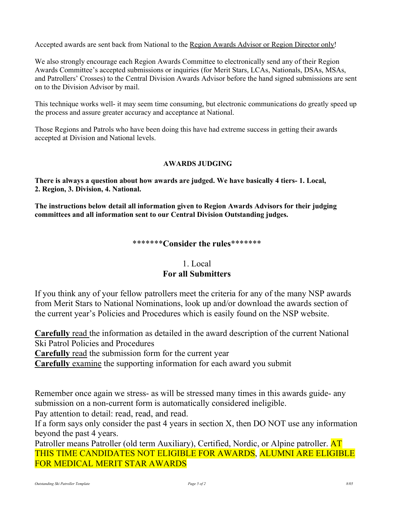Accepted awards are sent back from National to the Region Awards Advisor or Region Director only!

We also strongly encourage each Region Awards Committee to electronically send any of their Region Awards Committee's accepted submissions or inquiries (for Merit Stars, LCAs, Nationals, DSAs, MSAs, and Patrollers' Crosses) to the Central Division Awards Advisor before the hand signed submissions are sent on to the Division Advisor by mail.

This technique works well- it may seem time consuming, but electronic communications do greatly speed up the process and assure greater accuracy and acceptance at National.

Those Regions and Patrols who have been doing this have had extreme success in getting their awards accepted at Division and National levels.

### AWARDS JUDGING

There is always a question about how awards are judged. We have basically 4 tiers- 1. Local, 2. Region, 3. Division, 4. National.

The instructions below detail all information given to Region Awards Advisors for their judging committees and all information sent to our Central Division Outstanding judges.

### \*\*\*\*\*\*\*Consider the rules\*\*\*\*\*\*\*

# 1. Local For all Submitters

If you think any of your fellow patrollers meet the criteria for any of the many NSP awards from Merit Stars to National Nominations, look up and/or download the awards section of the current year's Policies and Procedures which is easily found on the NSP website.

Carefully read the information as detailed in the award description of the current National Ski Patrol Policies and Procedures

Carefully read the submission form for the current year

Carefully examine the supporting information for each award you submit

Remember once again we stress- as will be stressed many times in this awards guide- any submission on a non-current form is automatically considered ineligible.

Pay attention to detail: read, read, and read.

If a form says only consider the past 4 years in section X, then DO NOT use any information beyond the past 4 years.

Patroller means Patroller (old term Auxiliary), Certified, Nordic, or Alpine patroller. AT THIS TIME CANDIDATES NOT ELIGIBLE FOR AWARDS, ALUMNI ARE ELIGIBLE FOR MEDICAL MERIT STAR AWARDS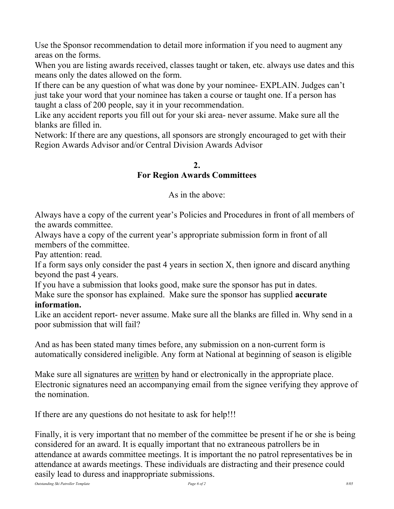Use the Sponsor recommendation to detail more information if you need to augment any areas on the forms.

When you are listing awards received, classes taught or taken, etc. always use dates and this means only the dates allowed on the form.

If there can be any question of what was done by your nominee- EXPLAIN. Judges can't just take your word that your nominee has taken a course or taught one. If a person has taught a class of 200 people, say it in your recommendation.

Like any accident reports you fill out for your ski area- never assume. Make sure all the blanks are filled in.

Network: If there are any questions, all sponsors are strongly encouraged to get with their Region Awards Advisor and/or Central Division Awards Advisor

### 2.

### For Region Awards Committees

As in the above:

Always have a copy of the current year's Policies and Procedures in front of all members of the awards committee.

Always have a copy of the current year's appropriate submission form in front of all members of the committee.

Pay attention: read.

If a form says only consider the past 4 years in section X, then ignore and discard anything beyond the past 4 years.

If you have a submission that looks good, make sure the sponsor has put in dates. Make sure the sponsor has explained. Make sure the sponsor has supplied **accurate** 

# information.

Like an accident report- never assume. Make sure all the blanks are filled in. Why send in a poor submission that will fail?

And as has been stated many times before, any submission on a non-current form is automatically considered ineligible. Any form at National at beginning of season is eligible

Make sure all signatures are written by hand or electronically in the appropriate place. Electronic signatures need an accompanying email from the signee verifying they approve of the nomination.

If there are any questions do not hesitate to ask for help!!!

Finally, it is very important that no member of the committee be present if he or she is being considered for an award. It is equally important that no extraneous patrollers be in attendance at awards committee meetings. It is important the no patrol representatives be in attendance at awards meetings. These individuals are distracting and their presence could easily lead to duress and inappropriate submissions.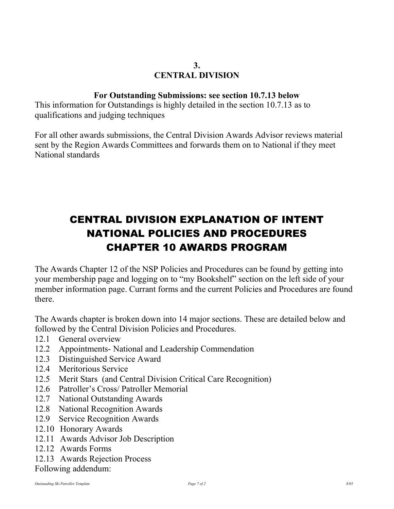# 3. CENTRAL DIVISION

### For Outstanding Submissions: see section 10.7.13 below

This information for Outstandings is highly detailed in the section 10.7.13 as to qualifications and judging techniques

For all other awards submissions, the Central Division Awards Advisor reviews material sent by the Region Awards Committees and forwards them on to National if they meet National standards

# CENTRAL DIVISION EXPLANATION OF INTENT NATIONAL POLICIES AND PROCEDURES CHAPTER 10 AWARDS PROGRAM

The Awards Chapter 12 of the NSP Policies and Procedures can be found by getting into your membership page and logging on to "my Bookshelf" section on the left side of your member information page. Currant forms and the current Policies and Procedures are found there.

The Awards chapter is broken down into 14 major sections. These are detailed below and followed by the Central Division Policies and Procedures.

- 12.1 General overview
- 12.2 Appointments- National and Leadership Commendation
- 12.3 Distinguished Service Award
- 12.4 Meritorious Service
- 12.5 Merit Stars (and Central Division Critical Care Recognition)
- 12.6 Patroller's Cross/ Patroller Memorial
- 12.7 National Outstanding Awards
- 12.8 National Recognition Awards
- 12.9 Service Recognition Awards
- 12.10 Honorary Awards
- 12.11 Awards Advisor Job Description
- 12.12 Awards Forms
- 12.13 Awards Rejection Process

Following addendum: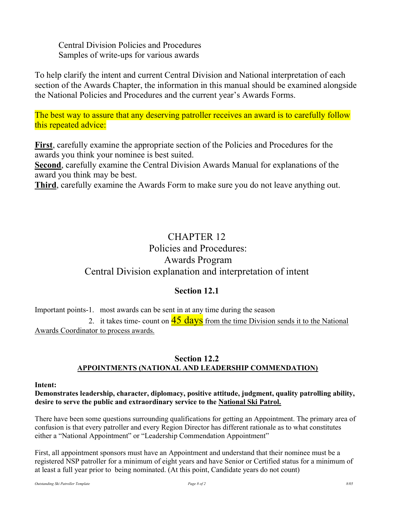Central Division Policies and Procedures Samples of write-ups for various awards

To help clarify the intent and current Central Division and National interpretation of each section of the Awards Chapter, the information in this manual should be examined alongside the National Policies and Procedures and the current year's Awards Forms.

The best way to assure that any deserving patroller receives an award is to carefully follow this repeated advice:

First, carefully examine the appropriate section of the Policies and Procedures for the awards you think your nominee is best suited.

Second, carefully examine the Central Division Awards Manual for explanations of the award you think may be best.

Third, carefully examine the Awards Form to make sure you do not leave anything out.

# CHAPTER 12 Policies and Procedures: Awards Program Central Division explanation and interpretation of intent

### Section 12.1

Important points-1. most awards can be sent in at any time during the season

2. it takes time- count on  $\frac{45 \text{ days}}{25}$  from the time Division sends it to the National Awards Coordinator to process awards.

### Section 12.2 APPOINTMENTS (NATIONAL AND LEADERSHIP COMMENDATION)

#### Intent:

Demonstrates leadership, character, diplomacy, positive attitude, judgment, quality patrolling ability, desire to serve the public and extraordinary service to the National Ski Patrol.

There have been some questions surrounding qualifications for getting an Appointment. The primary area of confusion is that every patroller and every Region Director has different rationale as to what constitutes either a "National Appointment" or "Leadership Commendation Appointment"

First, all appointment sponsors must have an Appointment and understand that their nominee must be a registered NSP patroller for a minimum of eight years and have Senior or Certified status for a minimum of at least a full year prior to being nominated. (At this point, Candidate years do not count)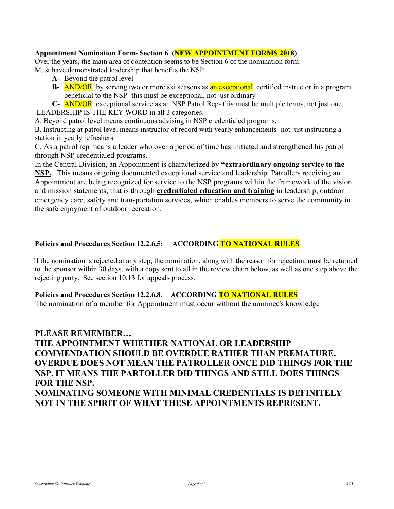#### Appointment Nomination Form- Section 6 (NEW APPOINTMENT FORMS 2018)

Over the years, the main area of contention seems to be Section 6 of the nomination form: Must have demonstrated leadership that benefits the NSP

- A- Beyond the patrol level
- B- AND/OR by serving two or more ski seasons as an exceptional certified instructor in a program beneficial to the NSP- this must be exceptional, not just ordinary
- C- AND/OR exceptional service as an NSP Patrol Rep- this must be multiple terms, not just one.

LEADERSHIP IS THE KEY WORD in all 3 categories.

A. Beyond patrol level means continuous advising in NSP credentialed programs.

B. Instructing at patrol level means instructor of record with yearly enhancements- not just instructing a station in yearly refreshers

C. As a patrol rep means a leader who over a period of time has initiated and strengthened his patrol through NSP credentialed programs.

In the Central Division, an Appointment is characterized by "extraordinary ongoing service to the NSP. This means ongoing documented exceptional service and leadership. Patrollers receiving an Appointment are being recognized for service to the NSP programs within the framework of the vision and mission statements, that is through credentialed education and training in leadership, outdoor emergency care, safety and transportation services, which enables members to serve the community in the safe enjoyment of outdoor recreation.

### Policies and Procedures Section 12.2.6.5: ACCORDING TO NATIONAL RULES

 If the nomination is rejected at any step, the nomination, along with the reason for rejection, must be returned to the sponsor within 30 days, with a copy sent to all in the review chain below, as well as one step above the rejecting party. See section 10.13 for appeals process.

Policies and Procedures Section 12.2.6.8: ACCORDING TO NATIONAL RULES

The nomination of a member for Appointment must occur without the nominee's knowledge

#### PLEASE REMEMBER…

# THE APPOINTMENT WHETHER NATIONAL OR LEADERSHIP COMMENDATION SHOULD BE OVERDUE RATHER THAN PREMATURE. OVERDUE DOES NOT MEAN THE PATROLLER ONCE DID THINGS FOR THE NSP. IT MEANS THE PARTOLLER DID THINGS AND STILL DOES THINGS FOR THE NSP. NOMINATING SOMEONE WITH MINIMAL CREDENTIALS IS DEFINITELY NOT IN THE SPIRIT OF WHAT THESE APPOINTMENTS REPRESENT.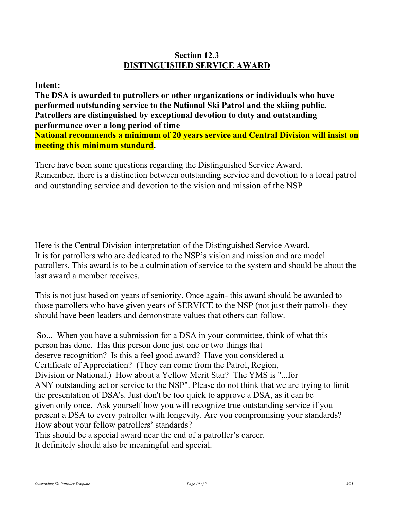## Section 12.3 DISTINGUISHED SERVICE AWARD

### Intent:

The DSA is awarded to patrollers or other organizations or individuals who have performed outstanding service to the National Ski Patrol and the skiing public. Patrollers are distinguished by exceptional devotion to duty and outstanding performance over a long period of time National recommends a minimum of 20 years service and Central Division will insist on meeting this minimum standard.

There have been some questions regarding the Distinguished Service Award. Remember, there is a distinction between outstanding service and devotion to a local patrol and outstanding service and devotion to the vision and mission of the NSP

Here is the Central Division interpretation of the Distinguished Service Award. It is for patrollers who are dedicated to the NSP's vision and mission and are model patrollers. This award is to be a culmination of service to the system and should be about the last award a member receives.

This is not just based on years of seniority. Once again- this award should be awarded to those patrollers who have given years of SERVICE to the NSP (not just their patrol)- they should have been leaders and demonstrate values that others can follow.

 So... When you have a submission for a DSA in your committee, think of what this person has done. Has this person done just one or two things that deserve recognition? Is this a feel good award? Have you considered a Certificate of Appreciation? (They can come from the Patrol, Region, Division or National.) How about a Yellow Merit Star? The YMS is "...for ANY outstanding act or service to the NSP". Please do not think that we are trying to limit the presentation of DSA's. Just don't be too quick to approve a DSA, as it can be given only once. Ask yourself how you will recognize true outstanding service if you present a DSA to every patroller with longevity. Are you compromising your standards? How about your fellow patrollers' standards? This should be a special award near the end of a patroller's career. It definitely should also be meaningful and special.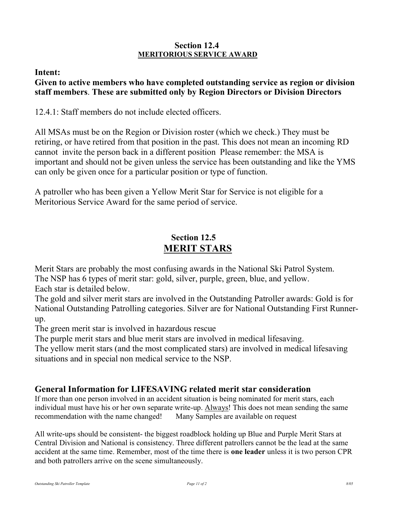### Section 12.4 MERITORIOUS SERVICE AWARD

### Intent:

### Given to active members who have completed outstanding service as region or division staff members. These are submitted only by Region Directors or Division Directors

12.4.1: Staff members do not include elected officers.

All MSAs must be on the Region or Division roster (which we check.) They must be retiring, or have retired from that position in the past. This does not mean an incoming RD cannot invite the person back in a different position Please remember: the MSA is important and should not be given unless the service has been outstanding and like the YMS can only be given once for a particular position or type of function.

A patroller who has been given a Yellow Merit Star for Service is not eligible for a Meritorious Service Award for the same period of service.

# Section 12.5 MERIT STARS

Merit Stars are probably the most confusing awards in the National Ski Patrol System. The NSP has 6 types of merit star: gold, silver, purple, green, blue, and yellow.

Each star is detailed below.

The gold and silver merit stars are involved in the Outstanding Patroller awards: Gold is for National Outstanding Patrolling categories. Silver are for National Outstanding First Runnerup.

The green merit star is involved in hazardous rescue

The purple merit stars and blue merit stars are involved in medical lifesaving.

The yellow merit stars (and the most complicated stars) are involved in medical lifesaving situations and in special non medical service to the NSP.

# General Information for LIFESAVING related merit star consideration

If more than one person involved in an accident situation is being nominated for merit stars, each individual must have his or her own separate write-up. Always! This does not mean sending the same recommendation with the name changed! Many Samples are available on request

All write-ups should be consistent- the biggest roadblock holding up Blue and Purple Merit Stars at Central Division and National is consistency. Three different patrollers cannot be the lead at the same accident at the same time. Remember, most of the time there is one leader unless it is two person CPR and both patrollers arrive on the scene simultaneously.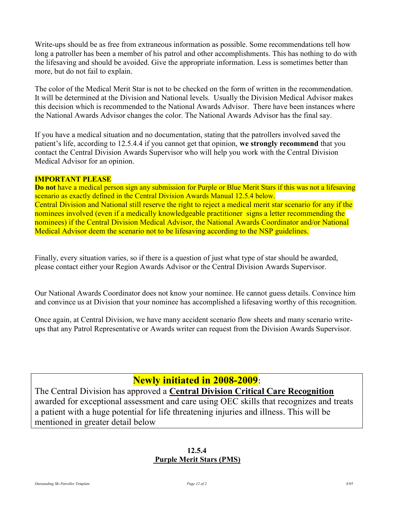Write-ups should be as free from extraneous information as possible. Some recommendations tell how long a patroller has been a member of his patrol and other accomplishments. This has nothing to do with the lifesaving and should be avoided. Give the appropriate information. Less is sometimes better than more, but do not fail to explain.

The color of the Medical Merit Star is not to be checked on the form of written in the recommendation. It will be determined at the Division and National levels. Usually the Division Medical Advisor makes this decision which is recommended to the National Awards Advisor. There have been instances where the National Awards Advisor changes the color. The National Awards Advisor has the final say.

If you have a medical situation and no documentation, stating that the patrollers involved saved the patient's life, according to 12.5.4.4 if you cannot get that opinion, we strongly recommend that you contact the Central Division Awards Supervisor who will help you work with the Central Division Medical Advisor for an opinion.

### IMPORTANT PLEASE

Do not have a medical person sign any submission for Purple or Blue Merit Stars if this was not a lifesaving scenario as exactly defined in the Central Division Awards Manual 12.5.4 below. Central Division and National still reserve the right to reject a medical merit star scenario for any if the nominees involved (even if a medically knowledgeable practitioner signs a letter recommending the nominees) if the Central Division Medical Advisor, the National Awards Coordinator and/or National Medical Advisor deem the scenario not to be lifesaving according to the NSP guidelines.

Finally, every situation varies, so if there is a question of just what type of star should be awarded, please contact either your Region Awards Advisor or the Central Division Awards Supervisor.

Our National Awards Coordinator does not know your nominee. He cannot guess details. Convince him and convince us at Division that your nominee has accomplished a lifesaving worthy of this recognition.

Once again, at Central Division, we have many accident scenario flow sheets and many scenario writeups that any Patrol Representative or Awards writer can request from the Division Awards Supervisor.

# Newly initiated in 2008-2009:

The Central Division has approved a Central Division Critical Care Recognition awarded for exceptional assessment and care using OEC skills that recognizes and treats a patient with a huge potential for life threatening injuries and illness. This will be mentioned in greater detail below

### 12.5.4 Purple Merit Stars (PMS)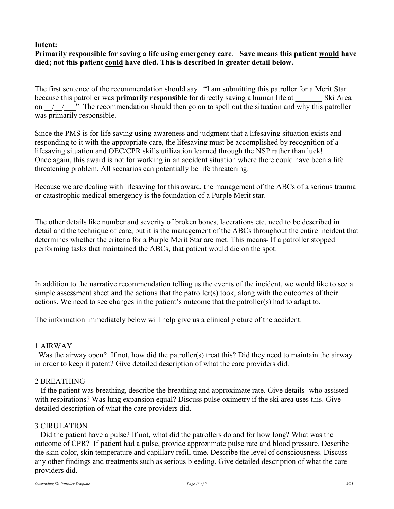### Intent:

### Primarily responsible for saving a life using emergency care. Save means this patient would have died; not this patient could have died. This is described in greater detail below.

The first sentence of the recommendation should say "I am submitting this patroller for a Merit Star because this patroller was **primarily responsible** for directly saving a human life at Ski Area on  $\ell$   $\ell$   $\gamma$   $\gamma$ . The recommendation should then go on to spell out the situation and why this patroller was primarily responsible.

Since the PMS is for life saving using awareness and judgment that a lifesaving situation exists and responding to it with the appropriate care, the lifesaving must be accomplished by recognition of a lifesaving situation and OEC/CPR skills utilization learned through the NSP rather than luck! Once again, this award is not for working in an accident situation where there could have been a life threatening problem. All scenarios can potentially be life threatening.

Because we are dealing with lifesaving for this award, the management of the ABCs of a serious trauma or catastrophic medical emergency is the foundation of a Purple Merit star.

The other details like number and severity of broken bones, lacerations etc. need to be described in detail and the technique of care, but it is the management of the ABCs throughout the entire incident that determines whether the criteria for a Purple Merit Star are met. This means- If a patroller stopped performing tasks that maintained the ABCs, that patient would die on the spot.

In addition to the narrative recommendation telling us the events of the incident, we would like to see a simple assessment sheet and the actions that the patroller(s) took, along with the outcomes of their actions. We need to see changes in the patient's outcome that the patroller(s) had to adapt to.

The information immediately below will help give us a clinical picture of the accident.

### 1 AIRWAY

Was the airway open? If not, how did the patroller(s) treat this? Did they need to maintain the airway in order to keep it patent? Give detailed description of what the care providers did.

### 2 BREATHING

 If the patient was breathing, describe the breathing and approximate rate. Give details- who assisted with respirations? Was lung expansion equal? Discuss pulse oximetry if the ski area uses this. Give detailed description of what the care providers did.

### 3 CIRULATION

 Did the patient have a pulse? If not, what did the patrollers do and for how long? What was the outcome of CPR? If patient had a pulse, provide approximate pulse rate and blood pressure. Describe the skin color, skin temperature and capillary refill time. Describe the level of consciousness. Discuss any other findings and treatments such as serious bleeding. Give detailed description of what the care providers did.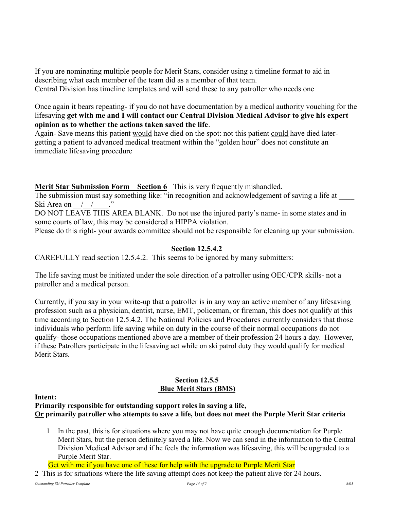If you are nominating multiple people for Merit Stars, consider using a timeline format to aid in describing what each member of the team did as a member of that team. Central Division has timeline templates and will send these to any patroller who needs one

Once again it bears repeating- if you do not have documentation by a medical authority vouching for the lifesaving get with me and I will contact our Central Division Medical Advisor to give his expert opinion as to whether the actions taken saved the life.

Again- Save means this patient would have died on the spot: not this patient could have died latergetting a patient to advanced medical treatment within the "golden hour" does not constitute an immediate lifesaving procedure

Merit Star Submission Form Section 6 This is very frequently mishandled.

The submission must say something like: "in recognition and acknowledgement of saving a life at Ski Area on  $\frac{1}{2}$ 

DO NOT LEAVE THIS AREA BLANK. Do not use the injured party's name- in some states and in some courts of law, this may be considered a HIPPA violation.

Please do this right- your awards committee should not be responsible for cleaning up your submission.

#### Section 12.5.4.2

CAREFULLY read section 12.5.4.2. This seems to be ignored by many submitters:

The life saving must be initiated under the sole direction of a patroller using OEC/CPR skills- not a patroller and a medical person.

Currently, if you say in your write-up that a patroller is in any way an active member of any lifesaving profession such as a physician, dentist, nurse, EMT, policeman, or fireman, this does not qualify at this time according to Section 12.5.4.2. The National Policies and Procedures currently considers that those individuals who perform life saving while on duty in the course of their normal occupations do not qualify- those occupations mentioned above are a member of their profession 24 hours a day. However, if these Patrollers participate in the lifesaving act while on ski patrol duty they would qualify for medical Merit Stars.

### Section 12.5.5 Blue Merit Stars (BMS)

Intent:

### Primarily responsible for outstanding support roles in saving a life, Or primarily patroller who attempts to save a life, but does not meet the Purple Merit Star criteria

- 1 In the past, this is for situations where you may not have quite enough documentation for Purple Merit Stars, but the person definitely saved a life. Now we can send in the information to the Central Division Medical Advisor and if he feels the information was lifesaving, this will be upgraded to a Purple Merit Star.
- Get with me if you have one of these for help with the upgrade to Purple Merit Star
- 2 This is for situations where the life saving attempt does not keep the patient alive for 24 hours.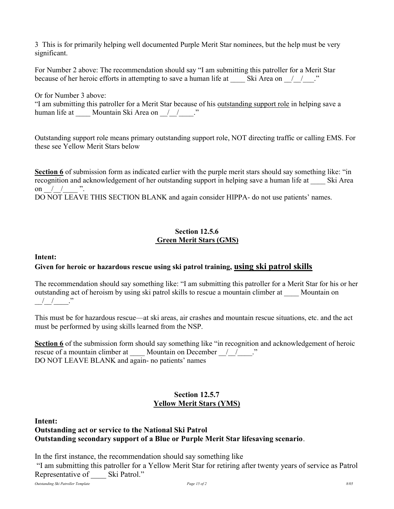3 This is for primarily helping well documented Purple Merit Star nominees, but the help must be very significant.

For Number 2 above: The recommendation should say "I am submitting this patroller for a Merit Star because of her heroic efforts in attempting to save a human life at Ski Area on  $\left($   $\right)$ 

Or for Number 3 above:

"I am submitting this patroller for a Merit Star because of his outstanding support role in helping save a human life at \_\_\_\_\_ Mountain Ski Area on \_\_\_\_\_\_\_\_\_\_\_\_."

Outstanding support role means primary outstanding support role, NOT directing traffic or calling EMS. For these see Yellow Merit Stars below

Section 6 of submission form as indicated earlier with the purple merit stars should say something like: "in recognition and acknowledgement of her outstanding support in helping save a human life at Ski Area on  $/$   $/$  ".

DO NOT LEAVE THIS SECTION BLANK and again consider HIPPA- do not use patients' names.

### Section 12.5.6 Green Merit Stars (GMS)

#### Intent:

### Given for heroic or hazardous rescue using ski patrol training, using ski patrol skills

The recommendation should say something like: "I am submitting this patroller for a Merit Star for his or her outstanding act of heroism by using ski patrol skills to rescue a mountain climber at Mountain on  $\frac{1}{2}$   $\frac{1}{2}$   $\frac{1}{2}$   $\frac{1}{2}$   $\frac{1}{2}$ 

This must be for hazardous rescue—at ski areas, air crashes and mountain rescue situations, etc. and the act must be performed by using skills learned from the NSP.

Section 6 of the submission form should say something like "in recognition and acknowledgement of heroic rescue of a mountain climber at Mountain on December / / ..." DO NOT LEAVE BLANK and again- no patients' names

### Section 12.5.7 Yellow Merit Stars (YMS)

#### Intent:

### Outstanding act or service to the National Ski Patrol Outstanding secondary support of a Blue or Purple Merit Star lifesaving scenario.

In the first instance, the recommendation should say something like

 "I am submitting this patroller for a Yellow Merit Star for retiring after twenty years of service as Patrol Representative of Ski Patrol."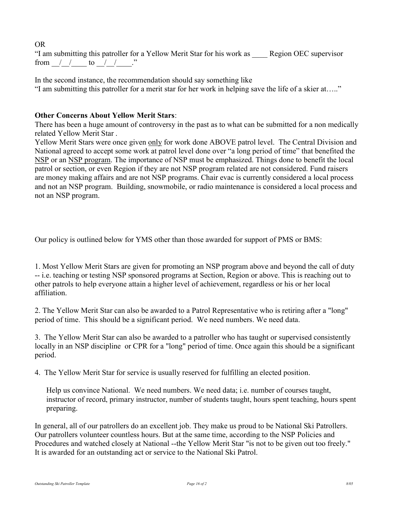OR "I am submitting this patroller for a Yellow Merit Star for his work as \_\_\_\_ Region OEC supervisor from  $/$  / to  $/$  /  $\cdot$  "

In the second instance, the recommendation should say something like "I am submitting this patroller for a merit star for her work in helping save the life of a skier at….."

### Other Concerns About Yellow Merit Stars:

There has been a huge amount of controversy in the past as to what can be submitted for a non medically related Yellow Merit Star .

Yellow Merit Stars were once given only for work done ABOVE patrol level. The Central Division and National agreed to accept some work at patrol level done over "a long period of time" that benefited the NSP or an NSP program. The importance of NSP must be emphasized. Things done to benefit the local patrol or section, or even Region if they are not NSP program related are not considered. Fund raisers are money making affairs and are not NSP programs. Chair evac is currently considered a local process and not an NSP program. Building, snowmobile, or radio maintenance is considered a local process and not an NSP program.

Our policy is outlined below for YMS other than those awarded for support of PMS or BMS:

1. Most Yellow Merit Stars are given for promoting an NSP program above and beyond the call of duty -- i.e. teaching or testing NSP sponsored programs at Section, Region or above. This is reaching out to other patrols to help everyone attain a higher level of achievement, regardless or his or her local affiliation.

2. The Yellow Merit Star can also be awarded to a Patrol Representative who is retiring after a "long" period of time. This should be a significant period. We need numbers. We need data.

3. The Yellow Merit Star can also be awarded to a patroller who has taught or supervised consistently locally in an NSP discipline or CPR for a "long" period of time. Once again this should be a significant period.

4. The Yellow Merit Star for service is usually reserved for fulfilling an elected position.

Help us convince National. We need numbers. We need data; i.e. number of courses taught, instructor of record, primary instructor, number of students taught, hours spent teaching, hours spent preparing.

In general, all of our patrollers do an excellent job. They make us proud to be National Ski Patrollers. Our patrollers volunteer countless hours. But at the same time, according to the NSP Policies and Procedures and watched closely at National --the Yellow Merit Star "is not to be given out too freely." It is awarded for an outstanding act or service to the National Ski Patrol.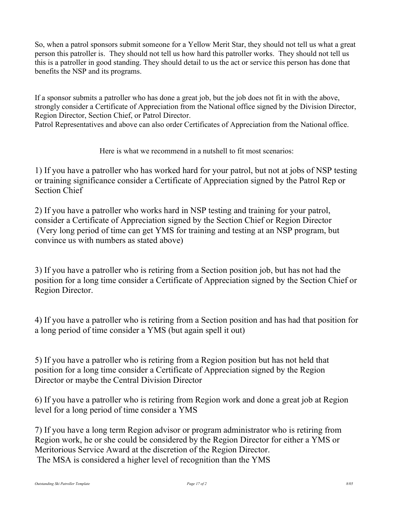So, when a patrol sponsors submit someone for a Yellow Merit Star, they should not tell us what a great person this patroller is. They should not tell us how hard this patroller works. They should not tell us this is a patroller in good standing. They should detail to us the act or service this person has done that benefits the NSP and its programs.

If a sponsor submits a patroller who has done a great job, but the job does not fit in with the above, strongly consider a Certificate of Appreciation from the National office signed by the Division Director, Region Director, Section Chief, or Patrol Director.

Patrol Representatives and above can also order Certificates of Appreciation from the National office.

Here is what we recommend in a nutshell to fit most scenarios:

1) If you have a patroller who has worked hard for your patrol, but not at jobs of NSP testing or training significance consider a Certificate of Appreciation signed by the Patrol Rep or Section Chief

2) If you have a patroller who works hard in NSP testing and training for your patrol, consider a Certificate of Appreciation signed by the Section Chief or Region Director (Very long period of time can get YMS for training and testing at an NSP program, but convince us with numbers as stated above)

3) If you have a patroller who is retiring from a Section position job, but has not had the position for a long time consider a Certificate of Appreciation signed by the Section Chief or Region Director.

4) If you have a patroller who is retiring from a Section position and has had that position for a long period of time consider a YMS (but again spell it out)

5) If you have a patroller who is retiring from a Region position but has not held that position for a long time consider a Certificate of Appreciation signed by the Region Director or maybe the Central Division Director

6) If you have a patroller who is retiring from Region work and done a great job at Region level for a long period of time consider a YMS

7) If you have a long term Region advisor or program administrator who is retiring from Region work, he or she could be considered by the Region Director for either a YMS or Meritorious Service Award at the discretion of the Region Director. The MSA is considered a higher level of recognition than the YMS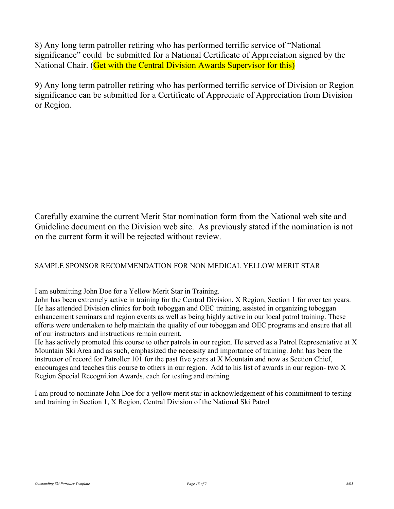8) Any long term patroller retiring who has performed terrific service of "National significance" could be submitted for a National Certificate of Appreciation signed by the National Chair. (Get with the Central Division Awards Supervisor for this)

9) Any long term patroller retiring who has performed terrific service of Division or Region significance can be submitted for a Certificate of Appreciate of Appreciation from Division or Region.

Carefully examine the current Merit Star nomination form from the National web site and Guideline document on the Division web site. As previously stated if the nomination is not on the current form it will be rejected without review.

### SAMPLE SPONSOR RECOMMENDATION FOR NON MEDICAL YELLOW MERIT STAR

I am submitting John Doe for a Yellow Merit Star in Training.

John has been extremely active in training for the Central Division, X Region, Section 1 for over ten years. He has attended Division clinics for both toboggan and OEC training, assisted in organizing toboggan enhancement seminars and region events as well as being highly active in our local patrol training. These efforts were undertaken to help maintain the quality of our toboggan and OEC programs and ensure that all of our instructors and instructions remain current.

He has actively promoted this course to other patrols in our region. He served as a Patrol Representative at X Mountain Ski Area and as such, emphasized the necessity and importance of training. John has been the instructor of record for Patroller 101 for the past five years at X Mountain and now as Section Chief, encourages and teaches this course to others in our region. Add to his list of awards in our region- two X Region Special Recognition Awards, each for testing and training.

I am proud to nominate John Doe for a yellow merit star in acknowledgement of his commitment to testing and training in Section 1, X Region, Central Division of the National Ski Patrol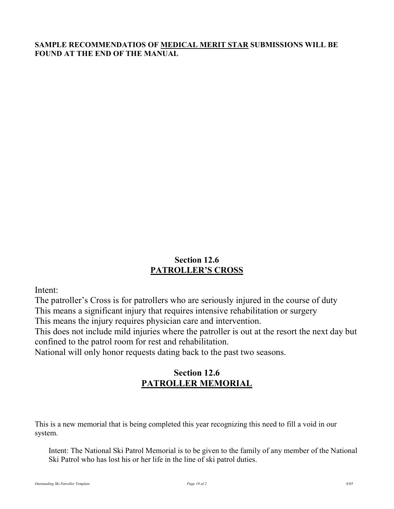### SAMPLE RECOMMENDATIOS OF MEDICAL MERIT STAR SUBMISSIONS WILL BE FOUND AT THE END OF THE MANUAL

# Section 12.6 PATROLLER'S CROSS

Intent:

The patroller's Cross is for patrollers who are seriously injured in the course of duty This means a significant injury that requires intensive rehabilitation or surgery

This means the injury requires physician care and intervention.

This does not include mild injuries where the patroller is out at the resort the next day but confined to the patrol room for rest and rehabilitation.

National will only honor requests dating back to the past two seasons.

# Section 12.6 PATROLLER MEMORIAL

This is a new memorial that is being completed this year recognizing this need to fill a void in our system.

Intent: The National Ski Patrol Memorial is to be given to the family of any member of the National Ski Patrol who has lost his or her life in the line of ski patrol duties.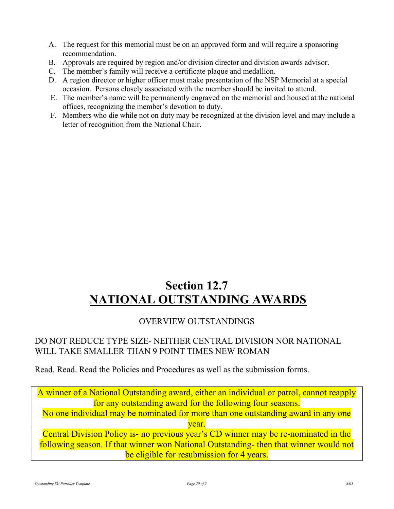- A. The request for this memorial must be on an approved form and will require a sponsoring recommendation.
- B. Approvals are required by region and/or division director and division awards advisor.
- C. The member's family will receive a certificate plaque and medallion.
- D. A region director or higher officer must make presentation of the NSP Memorial at a special occasion. Persons closely associated with the member should be invited to attend.
- E. The member's name will be permanently engraved on the memorial and housed at the national offices, recognizing the member's devotion to duty.
- F. Members who die while not on duty may be recognized at the division level and may include a letter of recognition from the National Chair.

# Section 12.7 NATIONAL OUTSTANDING AWARDS

# OVERVIEW OUTSTANDINGS

# DO NOT REDUCE TYPE SIZE- NEITHER CENTRAL DIVISION NOR NATIONAL WILL TAKE SMALLER THAN 9 POINT TIMES NEW ROMAN

Read. Read. Read the Policies and Procedures as well as the submission forms.

A winner of a National Outstanding award, either an individual or patrol, cannot reapply for any outstanding award for the following four seasons. No one individual may be nominated for more than one outstanding award in any one year. Central Division Policy is- no previous year's CD winner may be re-nominated in the following season. If that winner won National Outstanding- then that winner would not be eligible for resubmission for 4 years.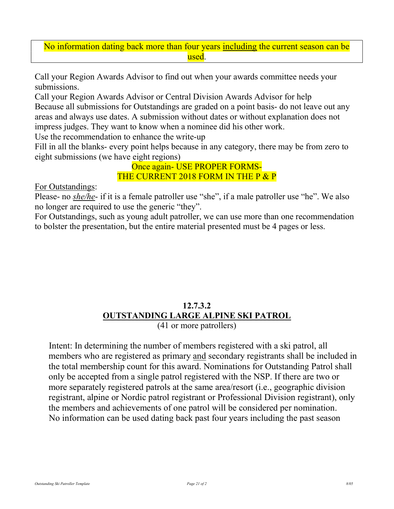### No information dating back more than four years including the current season can be used.

Call your Region Awards Advisor to find out when your awards committee needs your submissions.

Call your Region Awards Advisor or Central Division Awards Advisor for help Because all submissions for Outstandings are graded on a point basis- do not leave out any areas and always use dates. A submission without dates or without explanation does not impress judges. They want to know when a nominee did his other work.

Use the recommendation to enhance the write-up

Fill in all the blanks- every point helps because in any category, there may be from zero to eight submissions (we have eight regions)

> Once again- USE PROPER FORMS-THE CURRENT 2018 FORM IN THE P & P

For Outstandings:

Please- no she/he- if it is a female patroller use "she", if a male patroller use "he". We also no longer are required to use the generic "they".

For Outstandings, such as young adult patroller, we can use more than one recommendation to bolster the presentation, but the entire material presented must be 4 pages or less.

# 12.7.3.2 OUTSTANDING LARGE ALPINE SKI PATROL

(41 or more patrollers)

Intent: In determining the number of members registered with a ski patrol, all members who are registered as primary and secondary registrants shall be included in the total membership count for this award. Nominations for Outstanding Patrol shall only be accepted from a single patrol registered with the NSP. If there are two or more separately registered patrols at the same area/resort (i.e., geographic division registrant, alpine or Nordic patrol registrant or Professional Division registrant), only the members and achievements of one patrol will be considered per nomination. No information can be used dating back past four years including the past season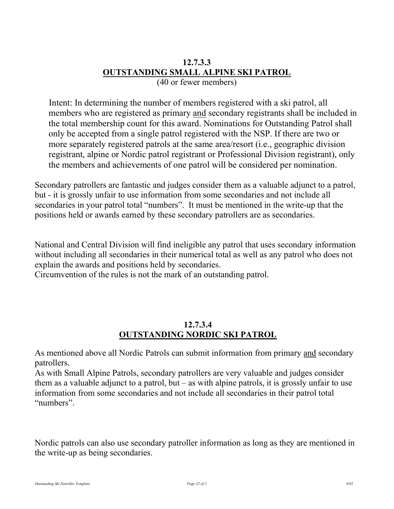### 12.7.3.3 OUTSTANDING SMALL ALPINE SKI PATROL (40 or fewer members)

Intent: In determining the number of members registered with a ski patrol, all members who are registered as primary and secondary registrants shall be included in the total membership count for this award. Nominations for Outstanding Patrol shall only be accepted from a single patrol registered with the NSP. If there are two or more separately registered patrols at the same area/resort (i.e., geographic division registrant, alpine or Nordic patrol registrant or Professional Division registrant), only the members and achievements of one patrol will be considered per nomination.

Secondary patrollers are fantastic and judges consider them as a valuable adjunct to a patrol, but - it is grossly unfair to use information from some secondaries and not include all secondaries in your patrol total "numbers". It must be mentioned in the write-up that the positions held or awards earned by these secondary patrollers are as secondaries.

National and Central Division will find ineligible any patrol that uses secondary information without including all secondaries in their numerical total as well as any patrol who does not explain the awards and positions held by secondaries.

Circumvention of the rules is not the mark of an outstanding patrol.

### 12.7.3.4 OUTSTANDING NORDIC SKI PATROL

As mentioned above all Nordic Patrols can submit information from primary and secondary patrollers.

As with Small Alpine Patrols, secondary patrollers are very valuable and judges consider them as a valuable adjunct to a patrol, but – as with alpine patrols, it is grossly unfair to use information from some secondaries and not include all secondaries in their patrol total "numbers".

Nordic patrols can also use secondary patroller information as long as they are mentioned in the write-up as being secondaries.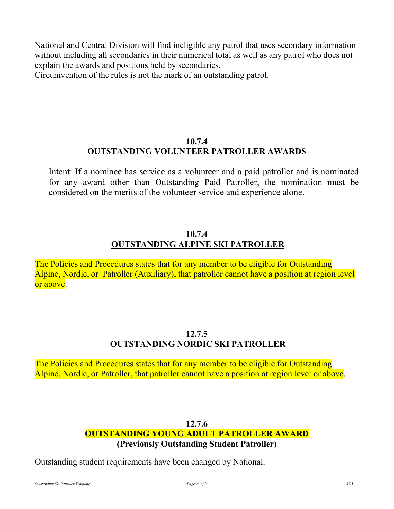National and Central Division will find ineligible any patrol that uses secondary information without including all secondaries in their numerical total as well as any patrol who does not explain the awards and positions held by secondaries.

Circumvention of the rules is not the mark of an outstanding patrol.

# 10.7.4 OUTSTANDING VOLUNTEER PATROLLER AWARDS

Intent: If a nominee has service as a volunteer and a paid patroller and is nominated for any award other than Outstanding Paid Patroller, the nomination must be considered on the merits of the volunteer service and experience alone.

# 10.7.4 OUTSTANDING ALPINE SKI PATROLLER

The Policies and Procedures states that for any member to be eligible for Outstanding Alpine, Nordic, or Patroller (Auxiliary), that patroller cannot have a position at region level or above.

# 12.7.5 OUTSTANDING NORDIC SKI PATROLLER

The Policies and Procedures states that for any member to be eligible for Outstanding Alpine, Nordic, or Patroller, that patroller cannot have a position at region level or above.

# 12.7.6 OUTSTANDING YOUNG ADULT PATROLLER AWARD (Previously Outstanding Student Patroller)

Outstanding student requirements have been changed by National.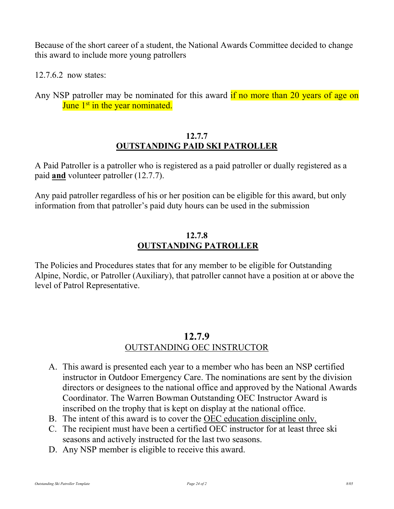Because of the short career of a student, the National Awards Committee decided to change this award to include more young patrollers

12.7.6.2 now states:

Any NSP patroller may be nominated for this award if no more than 20 years of age on June 1<sup>st</sup> in the year nominated.

# 12.7.7 OUTSTANDING PAID SKI PATROLLER

A Paid Patroller is a patroller who is registered as a paid patroller or dually registered as a paid and volunteer patroller (12.7.7).

Any paid patroller regardless of his or her position can be eligible for this award, but only information from that patroller's paid duty hours can be used in the submission

# 12.7.8 OUTSTANDING PATROLLER

The Policies and Procedures states that for any member to be eligible for Outstanding Alpine, Nordic, or Patroller (Auxiliary), that patroller cannot have a position at or above the level of Patrol Representative.

# 12.7.9 OUTSTANDING OEC INSTRUCTOR

- A. This award is presented each year to a member who has been an NSP certified instructor in Outdoor Emergency Care. The nominations are sent by the division directors or designees to the national office and approved by the National Awards Coordinator. The Warren Bowman Outstanding OEC Instructor Award is inscribed on the trophy that is kept on display at the national office.
- B. The intent of this award is to cover the OEC education discipline only.
- C. The recipient must have been a certified OEC instructor for at least three ski seasons and actively instructed for the last two seasons.
- D. Any NSP member is eligible to receive this award.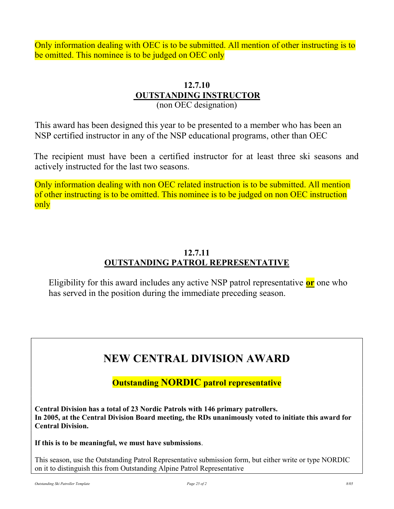Only information dealing with OEC is to be submitted. All mention of other instructing is to be omitted. This nominee is to be judged on OEC only

## 12.7.10 OUTSTANDING INSTRUCTOR (non OEC designation)

This award has been designed this year to be presented to a member who has been an NSP certified instructor in any of the NSP educational programs, other than OEC

 The recipient must have been a certified instructor for at least three ski seasons and actively instructed for the last two seasons.

Only information dealing with non OEC related instruction is to be submitted. All mention of other instructing is to be omitted. This nominee is to be judged on non OEC instruction only

# 12.7.11 OUTSTANDING PATROL REPRESENTATIVE

Eligibility for this award includes any active NSP patrol representative  $or$  one who has served in the position during the immediate preceding season.

# NEW CENTRAL DIVISION AWARD

Outstanding NORDIC patrol representative

Central Division has a total of 23 Nordic Patrols with 146 primary patrollers. In 2005, at the Central Division Board meeting, the RDs unanimously voted to initiate this award for Central Division.

If this is to be meaningful, we must have submissions.

This season, use the Outstanding Patrol Representative submission form, but either write or type NORDIC on it to distinguish this from Outstanding Alpine Patrol Representative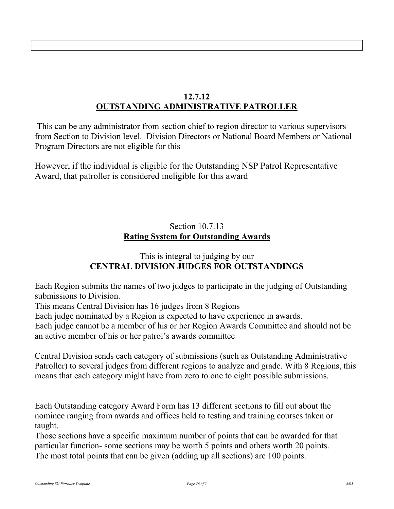# 12.7.12 OUTSTANDING ADMINISTRATIVE PATROLLER

 This can be any administrator from section chief to region director to various supervisors from Section to Division level. Division Directors or National Board Members or National Program Directors are not eligible for this

However, if the individual is eligible for the Outstanding NSP Patrol Representative Award, that patroller is considered ineligible for this award

# Section 10.7.13 Rating System for Outstanding Awards

# This is integral to judging by our CENTRAL DIVISION JUDGES FOR OUTSTANDINGS

Each Region submits the names of two judges to participate in the judging of Outstanding submissions to Division.

This means Central Division has 16 judges from 8 Regions

Each judge nominated by a Region is expected to have experience in awards.

Each judge cannot be a member of his or her Region Awards Committee and should not be an active member of his or her patrol's awards committee

Central Division sends each category of submissions (such as Outstanding Administrative Patroller) to several judges from different regions to analyze and grade. With 8 Regions, this means that each category might have from zero to one to eight possible submissions.

Each Outstanding category Award Form has 13 different sections to fill out about the nominee ranging from awards and offices held to testing and training courses taken or taught.

Those sections have a specific maximum number of points that can be awarded for that particular function- some sections may be worth 5 points and others worth 20 points. The most total points that can be given (adding up all sections) are 100 points.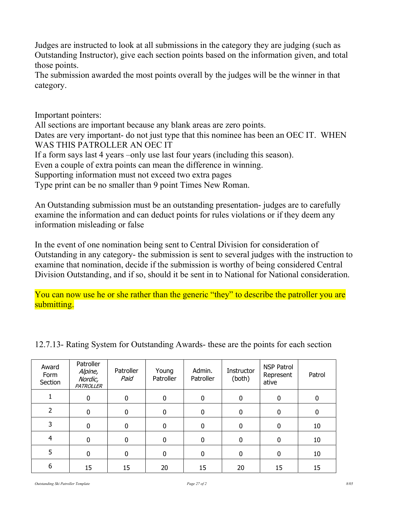Judges are instructed to look at all submissions in the category they are judging (such as Outstanding Instructor), give each section points based on the information given, and total those points.

The submission awarded the most points overall by the judges will be the winner in that category.

Important pointers:

All sections are important because any blank areas are zero points. Dates are very important- do not just type that this nominee has been an OEC IT. WHEN WAS THIS PATROLLER AN OEC IT If a form says last 4 years –only use last four years (including this season). Even a couple of extra points can mean the difference in winning. Supporting information must not exceed two extra pages Type print can be no smaller than 9 point Times New Roman.

An Outstanding submission must be an outstanding presentation- judges are to carefully examine the information and can deduct points for rules violations or if they deem any information misleading or false

In the event of one nomination being sent to Central Division for consideration of Outstanding in any category- the submission is sent to several judges with the instruction to examine that nomination, decide if the submission is worthy of being considered Central Division Outstanding, and if so, should it be sent in to National for National consideration.

You can now use he or she rather than the generic "they" to describe the patroller you are submitting.

| Award<br>Form<br>Section | Patroller<br>Alpine,<br>Nordic,<br><b>PATROLLER</b> | Patroller<br>Paid | Young<br>Patroller | Admin.<br>Patroller | Instructor<br>(both) | <b>NSP Patrol</b><br>Represent<br>ative | Patrol |
|--------------------------|-----------------------------------------------------|-------------------|--------------------|---------------------|----------------------|-----------------------------------------|--------|
|                          | 0                                                   | $\Omega$          | $\mathbf 0$        | 0                   | 0                    | $\mathbf 0$                             | 0      |
| $\overline{2}$           | 0                                                   | $\Omega$          | 0                  | 0                   | 0                    | 0                                       | 0      |
| 3                        | 0                                                   | 0                 | 0                  | 0                   | $\Omega$             | 0                                       | 10     |
| $\overline{4}$           | 0                                                   | $\Omega$          | 0                  | 0                   | $\Omega$             | $\mathbf 0$                             | 10     |
| 5                        | 0                                                   | $\Omega$          | 0                  | 0                   | 0                    | $\mathbf{0}$                            | 10     |
| 6                        | 15                                                  | 15                | 20                 | 15                  | 20                   | 15                                      | 15     |

12.7.13- Rating System for Outstanding Awards- these are the points for each section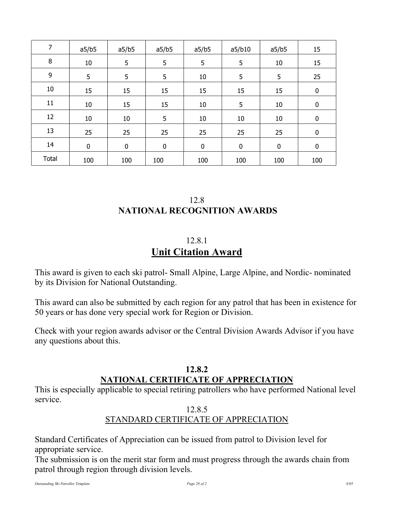| 7            | a5/b5       | a5/b5     | a5/b5       | a5/b5 | a5/b10   | a5/b5       | 15       |
|--------------|-------------|-----------|-------------|-------|----------|-------------|----------|
| 8            | $10\,$      | 5         | 5           | 5     | 5        | 10          | 15       |
| 9            | 5           | 5         | 5           | 10    | 5        | 5           | 25       |
| 10           | 15          | 15        | 15          | 15    | 15       | 15          | $\bf{0}$ |
| 11           | 10          | 15        | 15          | 10    | 5        | 10          | $\bf{0}$ |
| 12           | 10          | 10        | 5           | 10    | 10       | 10          | $\bf{0}$ |
| 13           | 25          | 25        | 25          | 25    | 25       | 25          | $\bf{0}$ |
| 14           | $\mathbf 0$ | $\pmb{0}$ | $\mathbf 0$ | 0     | $\bf{0}$ | $\mathbf 0$ | $\bf{0}$ |
| <b>Total</b> | 100         | 100       | 100         | 100   | 100      | 100         | 100      |

# 12.8 NATIONAL RECOGNITION AWARDS

# 12.8.1 Unit Citation Award

This award is given to each ski patrol- Small Alpine, Large Alpine, and Nordic- nominated by its Division for National Outstanding.

This award can also be submitted by each region for any patrol that has been in existence for 50 years or has done very special work for Region or Division.

Check with your region awards advisor or the Central Division Awards Advisor if you have any questions about this.

# 12.8.2 NATIONAL CERTIFICATE OF APPRECIATION

This is especially applicable to special retiring patrollers who have performed National level service.

# 12.8.5

# STANDARD CERTIFICATE OF APPRECIATION

Standard Certificates of Appreciation can be issued from patrol to Division level for appropriate service.

The submission is on the merit star form and must progress through the awards chain from patrol through region through division levels.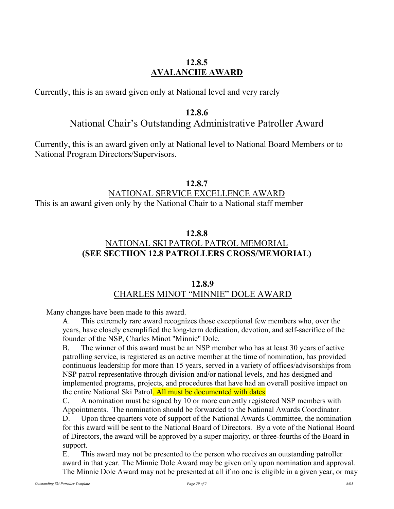## 12.8.5 AVALANCHE AWARD

Currently, this is an award given only at National level and very rarely

### 12.8.6

# National Chair's Outstanding Administrative Patroller Award

Currently, this is an award given only at National level to National Board Members or to National Program Directors/Supervisors.

### 12.8.7

# NATIONAL SERVICE EXCELLENCE AWARD

This is an award given only by the National Chair to a National staff member

# 12.8.8 NATIONAL SKI PATROL PATROL MEMORIAL (SEE SECTIION 12.8 PATROLLERS CROSS/MEMORIAL)

### 12.8.9 CHARLES MINOT "MINNIE" DOLE AWARD

Many changes have been made to this award.

A. This extremely rare award recognizes those exceptional few members who, over the years, have closely exemplified the long-term dedication, devotion, and self-sacrifice of the founder of the NSP, Charles Minot "Minnie" Dole.

The winner of this award must be an NSP member who has at least 30 years of active patrolling service, is registered as an active member at the time of nomination, has provided continuous leadership for more than 15 years, served in a variety of offices/advisorships from NSP patrol representative through division and/or national levels, and has designed and implemented programs, projects, and procedures that have had an overall positive impact on the entire National Ski Patrol. All must be documented with dates

 C. A nomination must be signed by 10 or more currently registered NSP members with Appointments. The nomination should be forwarded to the National Awards Coordinator.

 D. Upon three quarters vote of support of the National Awards Committee, the nomination for this award will be sent to the National Board of Directors. By a vote of the National Board of Directors, the award will be approved by a super majority, or three-fourths of the Board in support.

 E. This award may not be presented to the person who receives an outstanding patroller award in that year. The Minnie Dole Award may be given only upon nomination and approval. The Minnie Dole Award may not be presented at all if no one is eligible in a given year, or may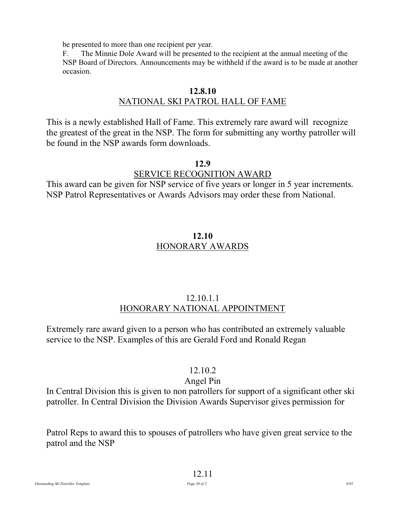be presented to more than one recipient per year.

 F. The Minnie Dole Award will be presented to the recipient at the annual meeting of the NSP Board of Directors. Announcements may be withheld if the award is to be made at another occasion.

# 12.8.10 NATIONAL SKI PATROL HALL OF FAME

This is a newly established Hall of Fame. This extremely rare award will recognize the greatest of the great in the NSP. The form for submitting any worthy patroller will be found in the NSP awards form downloads.

### 12.9

# SERVICE RECOGNITION AWARD

This award can be given for NSP service of five years or longer in 5 year increments. NSP Patrol Representatives or Awards Advisors may order these from National.

# 12.10 HONORARY AWARDS

# 12.10.1.1 HONORARY NATIONAL APPOINTMENT

Extremely rare award given to a person who has contributed an extremely valuable service to the NSP. Examples of this are Gerald Ford and Ronald Regan

# 12.10.2

# Angel Pin

In Central Division this is given to non patrollers for support of a significant other ski patroller. In Central Division the Division Awards Supervisor gives permission for

Patrol Reps to award this to spouses of patrollers who have given great service to the patrol and the NSP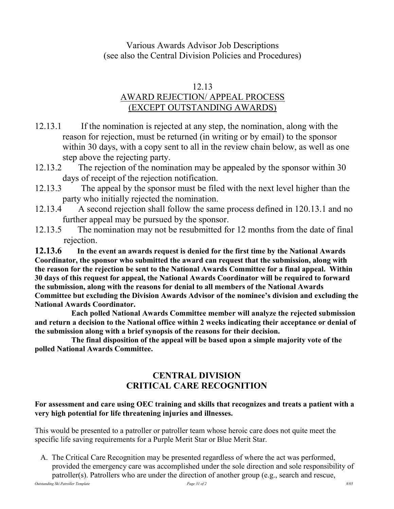# Various Awards Advisor Job Descriptions (see also the Central Division Policies and Procedures)

# 12.13

# AWARD REJECTION/ APPEAL PROCESS (EXCEPT OUTSTANDING AWARDS)

- 12.13.1 If the nomination is rejected at any step, the nomination, along with the reason for rejection, must be returned (in writing or by email) to the sponsor within 30 days, with a copy sent to all in the review chain below, as well as one step above the rejecting party.
- 12.13.2 The rejection of the nomination may be appealed by the sponsor within 30 days of receipt of the rejection notification.
- 12.13.3 The appeal by the sponsor must be filed with the next level higher than the party who initially rejected the nomination.
- 12.13.4 A second rejection shall follow the same process defined in 120.13.1 and no further appeal may be pursued by the sponsor.
- 12.13.5 The nomination may not be resubmitted for 12 months from the date of final rejection.

12.13.6 In the event an awards request is denied for the first time by the National Awards Coordinator, the sponsor who submitted the award can request that the submission, along with the reason for the rejection be sent to the National Awards Committee for a final appeal. Within 30 days of this request for appeal, the National Awards Coordinator will be required to forward the submission, along with the reasons for denial to all members of the National Awards Committee but excluding the Division Awards Advisor of the nominee's division and excluding the National Awards Coordinator.

 Each polled National Awards Committee member will analyze the rejected submission and return a decision to the National office within 2 weeks indicating their acceptance or denial of the submission along with a brief synopsis of the reasons for their decision.

 The final disposition of the appeal will be based upon a simple majority vote of the polled National Awards Committee.

# CENTRAL DIVISION CRITICAL CARE RECOGNITION

### For assessment and care using OEC training and skills that recognizes and treats a patient with a very high potential for life threatening injuries and illnesses.

This would be presented to a patroller or patroller team whose heroic care does not quite meet the specific life saving requirements for a Purple Merit Star or Blue Merit Star.

 A. The Critical Care Recognition may be presented regardless of where the act was performed, provided the emergency care was accomplished under the sole direction and sole responsibility of patroller(s). Patrollers who are under the direction of another group (e.g., search and rescue,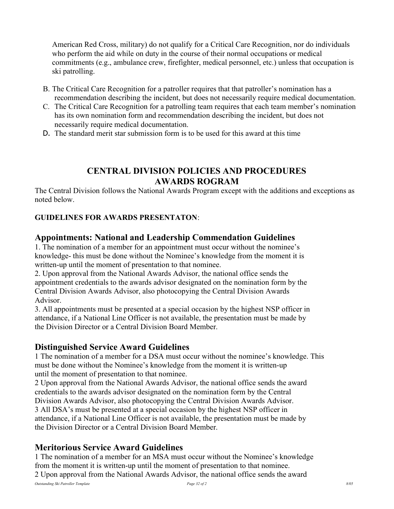American Red Cross, military) do not qualify for a Critical Care Recognition, nor do individuals who perform the aid while on duty in the course of their normal occupations or medical commitments (e.g., ambulance crew, firefighter, medical personnel, etc.) unless that occupation is ski patrolling.

- B. The Critical Care Recognition for a patroller requires that that patroller's nomination has a recommendation describing the incident, but does not necessarily require medical documentation.
- C. The Critical Care Recognition for a patrolling team requires that each team member's nomination has its own nomination form and recommendation describing the incident, but does not necessarily require medical documentation.
- D. The standard merit star submission form is to be used for this award at this time

# CENTRAL DIVISION POLICIES AND PROCEDURES AWARDS ROGRAM

The Central Division follows the National Awards Program except with the additions and exceptions as noted below.

### GUIDELINES FOR AWARDS PRESENTATON:

# Appointments: National and Leadership Commendation Guidelines

1. The nomination of a member for an appointment must occur without the nominee's knowledge- this must be done without the Nominee's knowledge from the moment it is written-up until the moment of presentation to that nominee.

2. Upon approval from the National Awards Advisor, the national office sends the appointment credentials to the awards advisor designated on the nomination form by the Central Division Awards Advisor, also photocopying the Central Division Awards Advisor.

3. All appointments must be presented at a special occasion by the highest NSP officer in attendance, if a National Line Officer is not available, the presentation must be made by the Division Director or a Central Division Board Member.

### Distinguished Service Award Guidelines

1 The nomination of a member for a DSA must occur without the nominee's knowledge. This must be done without the Nominee's knowledge from the moment it is written-up until the moment of presentation to that nominee.

2 Upon approval from the National Awards Advisor, the national office sends the award credentials to the awards advisor designated on the nomination form by the Central Division Awards Advisor, also photocopying the Central Division Awards Advisor. 3 All DSA's must be presented at a special occasion by the highest NSP officer in attendance, if a National Line Officer is not available, the presentation must be made by the Division Director or a Central Division Board Member.

# Meritorious Service Award Guidelines

1 The nomination of a member for an MSA must occur without the Nominee's knowledge from the moment it is written-up until the moment of presentation to that nominee. 2 Upon approval from the National Awards Advisor, the national office sends the award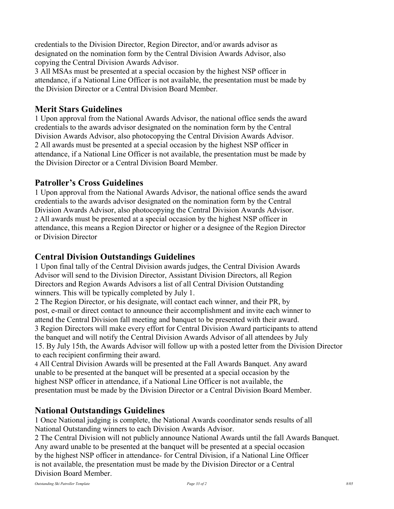credentials to the Division Director, Region Director, and/or awards advisor as designated on the nomination form by the Central Division Awards Advisor, also copying the Central Division Awards Advisor.

3 All MSAs must be presented at a special occasion by the highest NSP officer in attendance, if a National Line Officer is not available, the presentation must be made by the Division Director or a Central Division Board Member.

# Merit Stars Guidelines

1 Upon approval from the National Awards Advisor, the national office sends the award credentials to the awards advisor designated on the nomination form by the Central Division Awards Advisor, also photocopying the Central Division Awards Advisor. 2 All awards must be presented at a special occasion by the highest NSP officer in attendance, if a National Line Officer is not available, the presentation must be made by the Division Director or a Central Division Board Member.

# Patroller's Cross Guidelines

1 Upon approval from the National Awards Advisor, the national office sends the award credentials to the awards advisor designated on the nomination form by the Central Division Awards Advisor, also photocopying the Central Division Awards Advisor. 2 All awards must be presented at a special occasion by the highest NSP officer in attendance, this means a Region Director or higher or a designee of the Region Director or Division Director

## Central Division Outstandings Guidelines

1 Upon final tally of the Central Division awards judges, the Central Division Awards Advisor will send to the Division Director, Assistant Division Directors, all Region Directors and Region Awards Advisors a list of all Central Division Outstanding winners. This will be typically completed by July 1.

2 The Region Director, or his designate, will contact each winner, and their PR, by post, e-mail or direct contact to announce their accomplishment and invite each winner to attend the Central Division fall meeting and banquet to be presented with their award. 3 Region Directors will make every effort for Central Division Award participants to attend the banquet and will notify the Central Division Awards Advisor of all attendees by July 15. By July 15th, the Awards Advisor will follow up with a posted letter from the Division Director to each recipient confirming their award.

4 All Central Division Awards will be presented at the Fall Awards Banquet. Any award unable to be presented at the banquet will be presented at a special occasion by the highest NSP officer in attendance, if a National Line Officer is not available, the presentation must be made by the Division Director or a Central Division Board Member.

# National Outstandings Guidelines

1 Once National judging is complete, the National Awards coordinator sends results of all National Outstanding winners to each Division Awards Advisor.

2 The Central Division will not publicly announce National Awards until the fall Awards Banquet. Any award unable to be presented at the banquet will be presented at a special occasion by the highest NSP officer in attendance- for Central Division, if a National Line Officer is not available, the presentation must be made by the Division Director or a Central Division Board Member.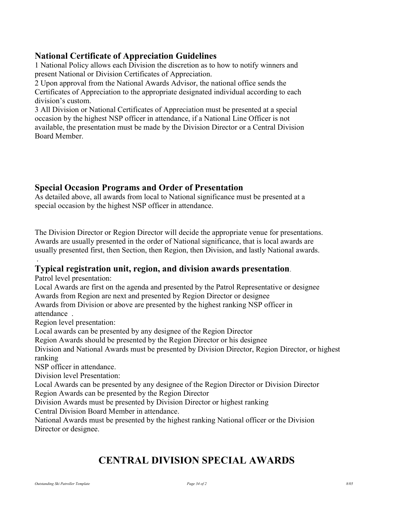# National Certificate of Appreciation Guidelines

1 National Policy allows each Division the discretion as to how to notify winners and present National or Division Certificates of Appreciation.

2 Upon approval from the National Awards Advisor, the national office sends the Certificates of Appreciation to the appropriate designated individual according to each division's custom.

3 All Division or National Certificates of Appreciation must be presented at a special occasion by the highest NSP officer in attendance, if a National Line Officer is not available, the presentation must be made by the Division Director or a Central Division Board Member.

# Special Occasion Programs and Order of Presentation

As detailed above, all awards from local to National significance must be presented at a special occasion by the highest NSP officer in attendance.

The Division Director or Region Director will decide the appropriate venue for presentations. Awards are usually presented in the order of National significance, that is local awards are usually presented first, then Section, then Region, then Division, and lastly National awards.

### Typical registration unit, region, and division awards presentation.

Patrol level presentation:

.

Local Awards are first on the agenda and presented by the Patrol Representative or designee Awards from Region are next and presented by Region Director or designee

Awards from Division or above are presented by the highest ranking NSP officer in attendance .

Region level presentation:

Local awards can be presented by any designee of the Region Director

Region Awards should be presented by the Region Director or his designee

Division and National Awards must be presented by Division Director, Region Director, or highest ranking

NSP officer in attendance.

Division level Presentation:

Local Awards can be presented by any designee of the Region Director or Division Director Region Awards can be presented by the Region Director

Division Awards must be presented by Division Director or highest ranking Central Division Board Member in attendance.

National Awards must be presented by the highest ranking National officer or the Division Director or designee.

# CENTRAL DIVISION SPECIAL AWARDS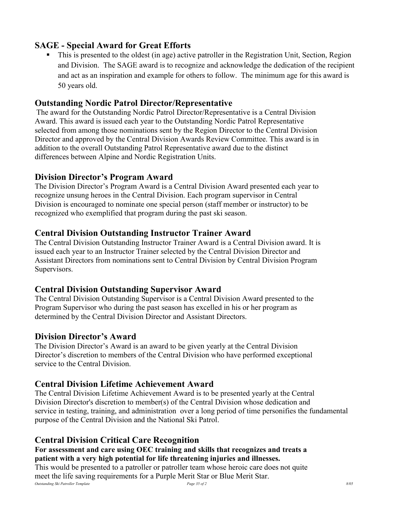# SAGE - Special Award for Great Efforts

 This is presented to the oldest (in age) active patroller in the Registration Unit, Section, Region and Division. The SAGE award is to recognize and acknowledge the dedication of the recipient and act as an inspiration and example for others to follow. The minimum age for this award is 50 years old.

# Outstanding Nordic Patrol Director/Representative

The award for the Outstanding Nordic Patrol Director/Representative is a Central Division Award. This award is issued each year to the Outstanding Nordic Patrol Representative selected from among those nominations sent by the Region Director to the Central Division Director and approved by the Central Division Awards Review Committee. This award is in addition to the overall Outstanding Patrol Representative award due to the distinct differences between Alpine and Nordic Registration Units.

# Division Director's Program Award

The Division Director's Program Award is a Central Division Award presented each year to recognize unsung heroes in the Central Division. Each program supervisor in Central Division is encouraged to nominate one special person (staff member or instructor) to be recognized who exemplified that program during the past ski season.

# Central Division Outstanding Instructor Trainer Award

The Central Division Outstanding Instructor Trainer Award is a Central Division award. It is issued each year to an Instructor Trainer selected by the Central Division Director and Assistant Directors from nominations sent to Central Division by Central Division Program Supervisors.

# Central Division Outstanding Supervisor Award

The Central Division Outstanding Supervisor is a Central Division Award presented to the Program Supervisor who during the past season has excelled in his or her program as determined by the Central Division Director and Assistant Directors.

# Division Director's Award

The Division Director's Award is an award to be given yearly at the Central Division Director's discretion to members of the Central Division who have performed exceptional service to the Central Division.

# Central Division Lifetime Achievement Award

The Central Division Lifetime Achievement Award is to be presented yearly at the Central Division Director's discretion to member(s) of the Central Division whose dedication and service in testing, training, and administration over a long period of time personifies the fundamental purpose of the Central Division and the National Ski Patrol.

# Central Division Critical Care Recognition

### For assessment and care using OEC training and skills that recognizes and treats a patient with a very high potential for life threatening injuries and illnesses.

Outstanding Ski Patroller Template **Page 35** of 2 8/05 This would be presented to a patroller or patroller team whose heroic care does not quite meet the life saving requirements for a Purple Merit Star or Blue Merit Star.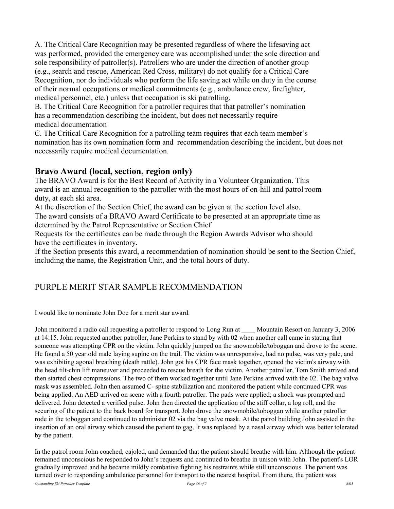A. The Critical Care Recognition may be presented regardless of where the lifesaving act was performed, provided the emergency care was accomplished under the sole direction and sole responsibility of patroller(s). Patrollers who are under the direction of another group (e.g., search and rescue, American Red Cross, military) do not qualify for a Critical Care Recognition, nor do individuals who perform the life saving act while on duty in the course of their normal occupations or medical commitments (e.g., ambulance crew, firefighter, medical personnel, etc.) unless that occupation is ski patrolling.

B. The Critical Care Recognition for a patroller requires that that patroller's nomination has a recommendation describing the incident, but does not necessarily require medical documentation

C. The Critical Care Recognition for a patrolling team requires that each team member's nomination has its own nomination form and recommendation describing the incident, but does not necessarily require medical documentation.

### Bravo Award (local, section, region only)

The BRAVO Award is for the Best Record of Activity in a Volunteer Organization. This award is an annual recognition to the patroller with the most hours of on-hill and patrol room duty, at each ski area.

At the discretion of the Section Chief, the award can be given at the section level also.

The award consists of a BRAVO Award Certificate to be presented at an appropriate time as determined by the Patrol Representative or Section Chief

Requests for the certificates can be made through the Region Awards Advisor who should have the certificates in inventory.

If the Section presents this award, a recommendation of nomination should be sent to the Section Chief, including the name, the Registration Unit, and the total hours of duty.

# PURPLE MERIT STAR SAMPLE RECOMMENDATION

I would like to nominate John Doe for a merit star award.

John monitored a radio call requesting a patroller to respond to Long Run at Mountain Resort on January 3, 2006 at 14:15. John requested another patroller, Jane Perkins to stand by with 02 when another call came in stating that someone was attempting CPR on the victim. John quickly jumped on the snowmobile/toboggan and drove to the scene. He found a 50 year old male laying supine on the trail. The victim was unresponsive, had no pulse, was very pale, and was exhibiting agonal breathing (death rattle). John got his CPR face mask together, opened the victim's airway with the head tilt-chin lift maneuver and proceeded to rescue breath for the victim. Another patroller, Tom Smith arrived and then started chest compressions. The two of them worked together until Jane Perkins arrived with the 02. The bag valve mask was assembled. John then assumed C- spine stabilization and monitored the patient while continued CPR was being applied. An AED arrived on scene with a fourth patroller. The pads were applied; a shock was prompted and delivered. John detected a verified pulse. John then directed the application of the stiff collar, a log roll, and the securing of the patient to the back board for transport. John drove the snowmobile/toboggan while another patroller rode in the toboggan and continued to administer 02 via the bag valve mask. At the patrol building John assisted in the insertion of an oral airway which caused the patient to gag. It was replaced by a nasal airway which was better tolerated by the patient.

In the patrol room John coached, cajoled, and demanded that the patient should breathe with him. Although the patient remained unconscious he responded to John's requests and continued to breathe in unison with John. The patient's LOR gradually improved and he became mildly combative fighting his restraints while still unconscious. The patient was turned over to responding ambulance personnel for transport to the nearest hospital. From there, the patient was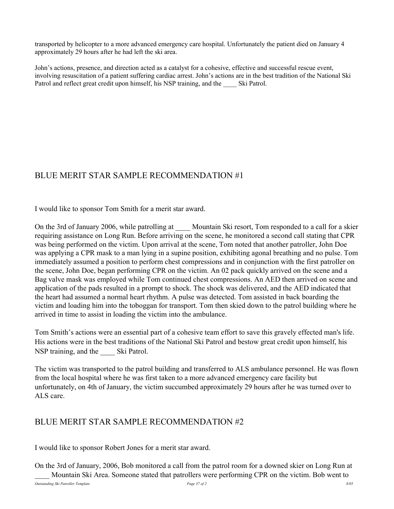transported by helicopter to a more advanced emergency care hospital. Unfortunately the patient died on January 4 approximately 29 hours after he had left the ski area.

John's actions, presence, and direction acted as a catalyst for a cohesive, effective and successful rescue event, involving resuscitation of a patient suffering cardiac arrest. John's actions are in the best tradition of the National Ski Patrol and reflect great credit upon himself, his NSP training, and the Ski Patrol.

# BLUE MERIT STAR SAMPLE RECOMMENDATION #1

I would like to sponsor Tom Smith for a merit star award.

On the 3rd of January 2006, while patrolling at Mountain Ski resort, Tom responded to a call for a skier requiring assistance on Long Run. Before arriving on the scene, he monitored a second call stating that CPR was being performed on the victim. Upon arrival at the scene, Tom noted that another patroller, John Doe was applying a CPR mask to a man lying in a supine position, exhibiting agonal breathing and no pulse. Tom immediately assumed a position to perform chest compressions and in conjunction with the first patroller on the scene, John Doe, began performing CPR on the victim. An 02 pack quickly arrived on the scene and a Bag valve mask was employed while Tom continued chest compressions. An AED then arrived on scene and application of the pads resulted in a prompt to shock. The shock was delivered, and the AED indicated that the heart had assumed a normal heart rhythm. A pulse was detected. Tom assisted in back boarding the victim and loading him into the toboggan for transport. Tom then skied down to the patrol building where he arrived in time to assist in loading the victim into the ambulance.

Tom Smith's actions were an essential part of a cohesive team effort to save this gravely effected man's life. His actions were in the best traditions of the National Ski Patrol and bestow great credit upon himself, his NSP training, and the Ski Patrol.

The victim was transported to the patrol building and transferred to ALS ambulance personnel. He was flown from the local hospital where he was first taken to a more advanced emergency care facility but unfortunately, on 4th of January, the victim succumbed approximately 29 hours after he was turned over to ALS care.

### BLUE MERIT STAR SAMPLE RECOMMENDATION #2

I would like to sponsor Robert Jones for a merit star award.

On the 3rd of January, 2006, Bob monitored a call from the patrol room for a downed skier on Long Run at Mountain Ski Area. Someone stated that patrollers were performing CPR on the victim. Bob went to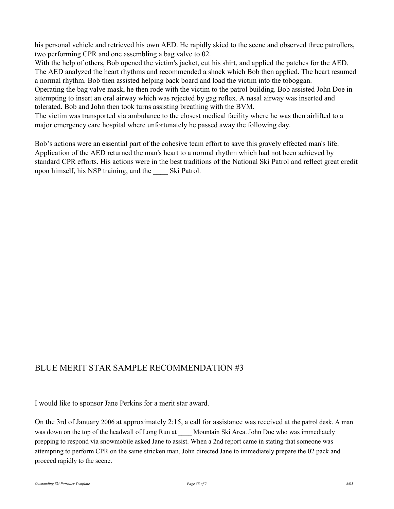his personal vehicle and retrieved his own AED. He rapidly skied to the scene and observed three patrollers, two performing CPR and one assembling a bag valve to 02.

With the help of others, Bob opened the victim's jacket, cut his shirt, and applied the patches for the AED. The AED analyzed the heart rhythms and recommended a shock which Bob then applied. The heart resumed a normal rhythm. Bob then assisted helping back board and load the victim into the toboggan.

Operating the bag valve mask, he then rode with the victim to the patrol building. Bob assisted John Doe in attempting to insert an oral airway which was rejected by gag reflex. A nasal airway was inserted and tolerated. Bob and John then took turns assisting breathing with the BVM.

The victim was transported via ambulance to the closest medical facility where he was then airlifted to a major emergency care hospital where unfortunately he passed away the following day.

Bob's actions were an essential part of the cohesive team effort to save this gravely effected man's life. Application of the AED returned the man's heart to a normal rhythm which had not been achieved by standard CPR efforts. His actions were in the best traditions of the National Ski Patrol and reflect great credit upon himself, his NSP training, and the \_\_\_\_ Ski Patrol.

### BLUE MERIT STAR SAMPLE RECOMMENDATION #3

I would like to sponsor Jane Perkins for a merit star award.

On the 3rd of January 2006 at approximately 2:15, a call for assistance was received at the patrol desk. A man was down on the top of the headwall of Long Run at Mountain Ski Area. John Doe who was immediately prepping to respond via snowmobile asked Jane to assist. When a 2nd report came in stating that someone was attempting to perform CPR on the same stricken man, John directed Jane to immediately prepare the 02 pack and proceed rapidly to the scene.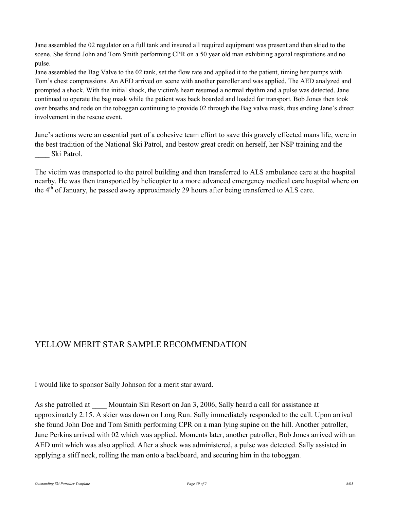Jane assembled the 02 regulator on a full tank and insured all required equipment was present and then skied to the scene. She found John and Tom Smith performing CPR on a 50 year old man exhibiting agonal respirations and no pulse.

Jane assembled the Bag Valve to the 02 tank, set the flow rate and applied it to the patient, timing her pumps with Tom's chest compressions. An AED arrived on scene with another patroller and was applied. The AED analyzed and prompted a shock. With the initial shock, the victim's heart resumed a normal rhythm and a pulse was detected. Jane continued to operate the bag mask while the patient was back boarded and loaded for transport. Bob Jones then took over breaths and rode on the toboggan continuing to provide 02 through the Bag valve mask, thus ending Jane's direct involvement in the rescue event.

Jane's actions were an essential part of a cohesive team effort to save this gravely effected mans life, were in the best tradition of the National Ski Patrol, and bestow great credit on herself, her NSP training and the Ski Patrol.

The victim was transported to the patrol building and then transferred to ALS ambulance care at the hospital nearby. He was then transported by helicopter to a more advanced emergency medical care hospital where on the 4<sup>th</sup> of January, he passed away approximately 29 hours after being transferred to ALS care.

# YELLOW MERIT STAR SAMPLE RECOMMENDATION

I would like to sponsor Sally Johnson for a merit star award.

As she patrolled at Mountain Ski Resort on Jan 3, 2006, Sally heard a call for assistance at approximately 2:15. A skier was down on Long Run. Sally immediately responded to the call. Upon arrival she found John Doe and Tom Smith performing CPR on a man lying supine on the hill. Another patroller, Jane Perkins arrived with 02 which was applied. Moments later, another patroller, Bob Jones arrived with an AED unit which was also applied. After a shock was administered, a pulse was detected. Sally assisted in applying a stiff neck, rolling the man onto a backboard, and securing him in the toboggan.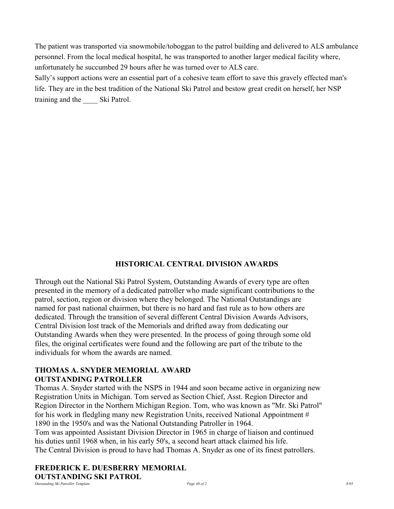The patient was transported via snowmobile/toboggan to the patrol building and delivered to ALS ambulance personnel. From the local medical hospital, he was transported to another larger medical facility where, unfortunately he succumbed 29 hours after he was turned over to ALS care.

Sally's support actions were an essential part of a cohesive team effort to save this gravely effected man's life. They are in the best tradition of the National Ski Patrol and bestow great credit on herself, her NSP training and the \_\_\_\_ Ski Patrol.

### HISTORICAL CENTRAL DIVISION AWARDS

Through out the National Ski Patrol System, Outstanding Awards of every type are often presented in the memory of a dedicated patroller who made significant contributions to the patrol, section, region or division where they belonged. The National Outstandings are named for past national chairmen, but there is no hard and fast rule as to how others are dedicated. Through the transition of several different Central Division Awards Advisors, Central Division lost track of the Memorials and drifted away from dedicating our Outstanding Awards when they were presented. In the process of going through some old files, the original certificates were found and the following are part of the tribute to the individuals for whom the awards are named.

#### THOMAS A. SNYDER MEMORIAL AWARD OUTSTANDING PATROLLER

Thomas A. Snyder started with the NSPS in 1944 and soon became active in organizing new Registration Units in Michigan. Tom served as Section Chief, Asst. Region Director and Region Director in the Northern Michigan Region. Tom, who was known as "Mr. Ski Patrol" for his work in fledgling many new Registration Units, received National Appointment # 1890 in the 1950's and was the National Outstanding Patroller in 1964. Tom was appointed Assistant Division Director in 1965 in charge of liaison and continued

his duties until 1968 when, in his early 50's, a second heart attack claimed his life. The Central Division is proud to have had Thomas A. Snyder as one of its finest patrollers.

### FREDERICK E. DUESBERRY MEMORIAL OUTSTANDING SKI PATROL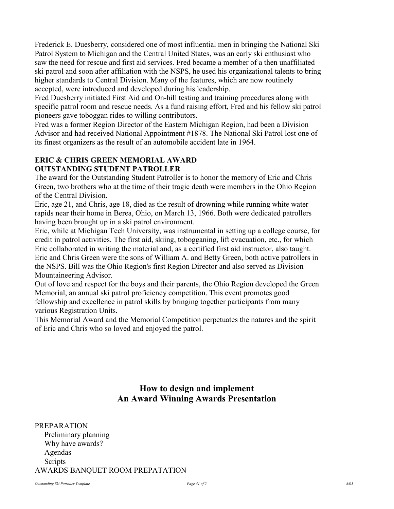Frederick E. Duesberry, considered one of most influential men in bringing the National Ski Patrol System to Michigan and the Central United States, was an early ski enthusiast who saw the need for rescue and first aid services. Fred became a member of a then unaffiliated ski patrol and soon after affiliation with the NSPS, he used his organizational talents to bring higher standards to Central Division. Many of the features, which are now routinely accepted, were introduced and developed during his leadership.

Fred Duesberry initiated First Aid and On-hill testing and training procedures along with specific patrol room and rescue needs. As a fund raising effort, Fred and his fellow ski patrol pioneers gave toboggan rides to willing contributors.

Fred was a former Region Director of the Eastern Michigan Region, had been a Division Advisor and had received National Appointment #1878. The National Ski Patrol lost one of its finest organizers as the result of an automobile accident late in 1964.

#### ERIC & CHRIS GREEN MEMORIAL AWARD OUTSTANDING STUDENT PATROLLER

The award for the Outstanding Student Patroller is to honor the memory of Eric and Chris Green, two brothers who at the time of their tragic death were members in the Ohio Region of the Central Division.

Eric, age 21, and Chris, age 18, died as the result of drowning while running white water rapids near their home in Berea, Ohio, on March 13, 1966. Both were dedicated patrollers having been brought up in a ski patrol environment.

Eric, while at Michigan Tech University, was instrumental in setting up a college course, for credit in patrol activities. The first aid, skiing, tobogganing, lift evacuation, etc., for which Eric collaborated in writing the material and, as a certified first aid instructor, also taught. Eric and Chris Green were the sons of William A. and Betty Green, both active patrollers in the NSPS. Bill was the Ohio Region's first Region Director and also served as Division Mountaineering Advisor.

Out of love and respect for the boys and their parents, the Ohio Region developed the Green Memorial, an annual ski patrol proficiency competition. This event promotes good fellowship and excellence in patrol skills by bringing together participants from many various Registration Units.

This Memorial Award and the Memorial Competition perpetuates the natures and the spirit of Eric and Chris who so loved and enjoyed the patrol.

# How to design and implement An Award Winning Awards Presentation

PREPARATION Preliminary planning Why have awards? Agendas Scripts AWARDS BANQUET ROOM PREPATATION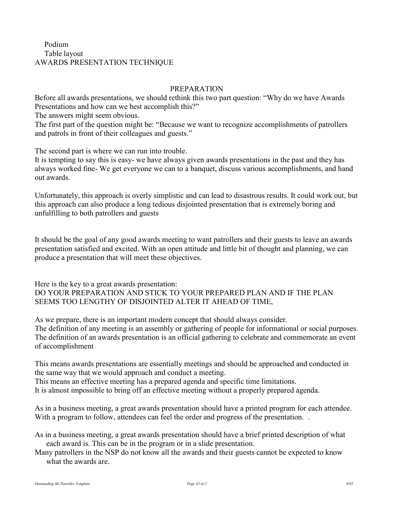### Podium Table layout AWARDS PRESENTATION TECHNIQUE

#### PREPARATION

Before all awards presentations, we should rethink this two part question: "Why do we have Awards Presentations and how can we best accomplish this?"

The answers might seem obvious.

The first part of the question might be: "Because we want to recognize accomplishments of patrollers and patrols in front of their colleagues and guests."

The second part is where we can run into trouble.

It is tempting to say this is easy- we have always given awards presentations in the past and they has always worked fine- We get everyone we can to a banquet, discuss various accomplishments, and hand out awards.

Unfortunately, this approach is overly simplistic and can lead to disastrous results. It could work out, but this approach can also produce a long tedious disjointed presentation that is extremely boring and unfulfilling to both patrollers and guests

It should be the goal of any good awards meeting to want patrollers and their guests to leave an awards presentation satisfied and excited. With an open attitude and little bit of thought and planning, we can produce a presentation that will meet these objectives.

Here is the key to a great awards presentation: DO YOUR PREPARATION AND STICK TO YOUR PREPARED PLAN AND IF THE PLAN SEEMS TOO LENGTHY OF DISJOINTED ALTER IT AHEAD OF TIME,

As we prepare, there is an important modern concept that should always consider.

The definition of any meeting is an assembly or gathering of people for informational or social purposes. The definition of an awards presentation is an official gathering to celebrate and commemorate an event of accomplishment

This means awards presentations are essentially meetings and should be approached and conducted in the same way that we would approach and conduct a meeting.

This means an effective meeting has a prepared agenda and specific time limitations.

It is almost impossible to bring off an effective meeting without a properly prepared agenda.

As in a business meeting, a great awards presentation should have a printed program for each attendee. With a program to follow, attendees can feel the order and progress of the presentation...

- As in a business meeting, a great awards presentation should have a brief printed description of what each award is. This can be in the program or in a slide presentation.
- Many patrollers in the NSP do not know all the awards and their guests cannot be expected to know what the awards are.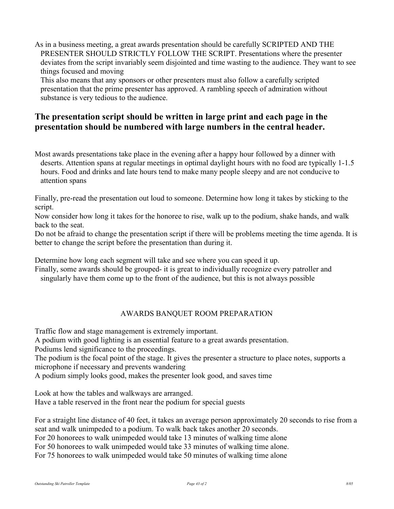As in a business meeting, a great awards presentation should be carefully SCRIPTED AND THE PRESENTER SHOULD STRICTLY FOLLOW THE SCRIPT. Presentations where the presenter deviates from the script invariably seem disjointed and time wasting to the audience. They want to see things focused and moving

 This also means that any sponsors or other presenters must also follow a carefully scripted presentation that the prime presenter has approved. A rambling speech of admiration without substance is very tedious to the audience.

# The presentation script should be written in large print and each page in the presentation should be numbered with large numbers in the central header.

Most awards presentations take place in the evening after a happy hour followed by a dinner with deserts. Attention spans at regular meetings in optimal daylight hours with no food are typically 1-1.5 hours. Food and drinks and late hours tend to make many people sleepy and are not conducive to attention spans

Finally, pre-read the presentation out loud to someone. Determine how long it takes by sticking to the script.

Now consider how long it takes for the honoree to rise, walk up to the podium, shake hands, and walk back to the seat.

Do not be afraid to change the presentation script if there will be problems meeting the time agenda. It is better to change the script before the presentation than during it.

Determine how long each segment will take and see where you can speed it up.

Finally, some awards should be grouped- it is great to individually recognize every patroller and singularly have them come up to the front of the audience, but this is not always possible

### AWARDS BANQUET ROOM PREPARATION

Traffic flow and stage management is extremely important.

A podium with good lighting is an essential feature to a great awards presentation.

Podiums lend significance to the proceedings.

The podium is the focal point of the stage. It gives the presenter a structure to place notes, supports a microphone if necessary and prevents wandering

A podium simply looks good, makes the presenter look good, and saves time

Look at how the tables and walkways are arranged.

Have a table reserved in the front near the podium for special guests

For a straight line distance of 40 feet, it takes an average person approximately 20 seconds to rise from a seat and walk unimpeded to a podium. To walk back takes another 20 seconds.

For 20 honorees to walk unimpeded would take 13 minutes of walking time alone

For 50 honorees to walk unimpeded would take 33 minutes of walking time alone.

For 75 honorees to walk unimpeded would take 50 minutes of walking time alone